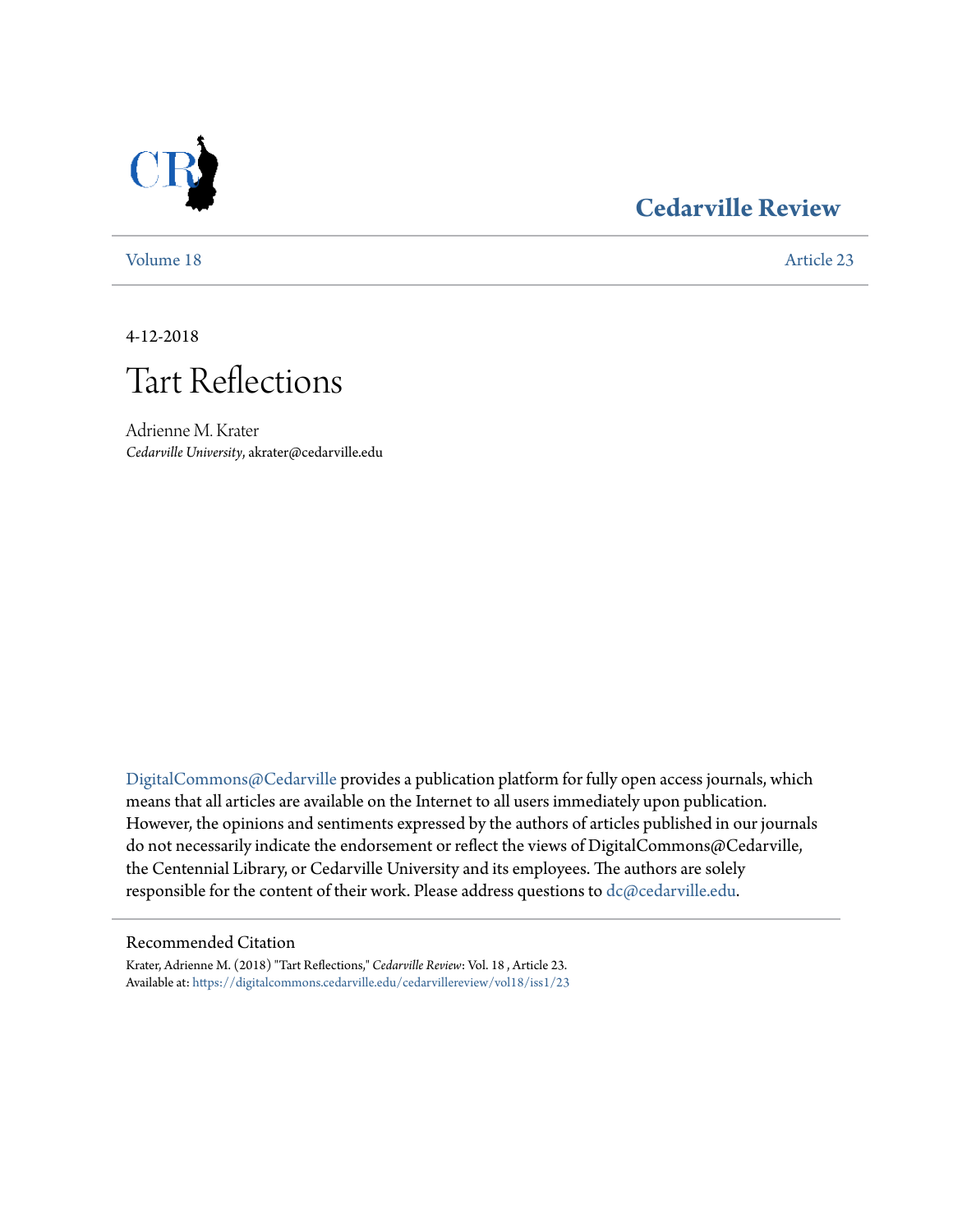

### **[Cedarville Review](https://digitalcommons.cedarville.edu/cedarvillereview?utm_source=digitalcommons.cedarville.edu%2Fcedarvillereview%2Fvol18%2Fiss1%2F23&utm_medium=PDF&utm_campaign=PDFCoverPages)**

[Volume 18](https://digitalcommons.cedarville.edu/cedarvillereview/vol18?utm_source=digitalcommons.cedarville.edu%2Fcedarvillereview%2Fvol18%2Fiss1%2F23&utm_medium=PDF&utm_campaign=PDFCoverPages) [Article 23](https://digitalcommons.cedarville.edu/cedarvillereview/vol18/iss1/23?utm_source=digitalcommons.cedarville.edu%2Fcedarvillereview%2Fvol18%2Fiss1%2F23&utm_medium=PDF&utm_campaign=PDFCoverPages)

4-12-2018

# Tart Reflections

Adrienne M. Krater *Cedarville University*, akrater@cedarville.edu

[DigitalCommons@Cedarville](http://digitalcommons.cedarville.edu/) provides a publication platform for fully open access journals, which means that all articles are available on the Internet to all users immediately upon publication. However, the opinions and sentiments expressed by the authors of articles published in our journals do not necessarily indicate the endorsement or reflect the views of DigitalCommons@Cedarville, the Centennial Library, or Cedarville University and its employees. The authors are solely responsible for the content of their work. Please address questions to [dc@cedarville.edu](mailto:dc@cedarville.edu).

#### Recommended Citation

Krater, Adrienne M. (2018) "Tart Reflections," *Cedarville Review*: Vol. 18 , Article 23. Available at: [https://digitalcommons.cedarville.edu/cedarvillereview/vol18/iss1/23](https://digitalcommons.cedarville.edu/cedarvillereview/vol18/iss1/23?utm_source=digitalcommons.cedarville.edu%2Fcedarvillereview%2Fvol18%2Fiss1%2F23&utm_medium=PDF&utm_campaign=PDFCoverPages)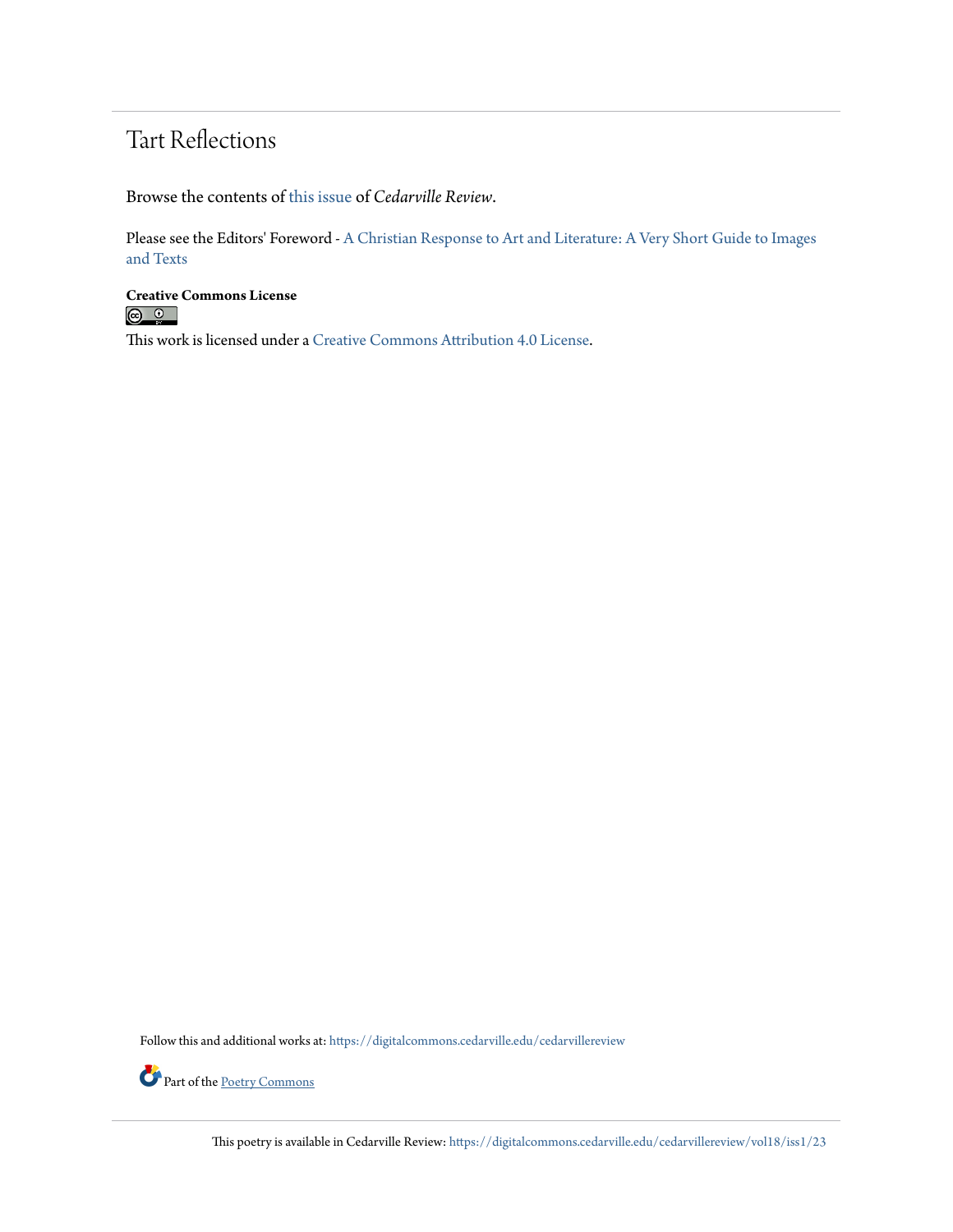## Tart Reflections

Browse the contents of [this issue](https://digitalcommons.cedarville.edu/cedarvillereview/vol18/iss1) of *Cedarville Review*.

Please see the Editors' Foreword - [A Christian Response to Art and Literature: A Very Short Guide to Images](http://digitalcommons.cedarville.edu/cedarvillereview/vol18/iss1/1/) [and Texts](http://digitalcommons.cedarville.edu/cedarvillereview/vol18/iss1/1/)

**Creative Commons License**<br> **C 0** 

This work is licensed under a [Creative Commons Attribution 4.0 License.](http://creativecommons.org/licenses/by/4.0/)

Follow this and additional works at: [https://digitalcommons.cedarville.edu/cedarvillereview](https://digitalcommons.cedarville.edu/cedarvillereview?utm_source=digitalcommons.cedarville.edu%2Fcedarvillereview%2Fvol18%2Fiss1%2F23&utm_medium=PDF&utm_campaign=PDFCoverPages)



This poetry is available in Cedarville Review: [https://digitalcommons.cedarville.edu/cedarvillereview/vol18/iss1/23](https://digitalcommons.cedarville.edu/cedarvillereview/vol18/iss1/23?utm_source=digitalcommons.cedarville.edu%2Fcedarvillereview%2Fvol18%2Fiss1%2F23&utm_medium=PDF&utm_campaign=PDFCoverPages)